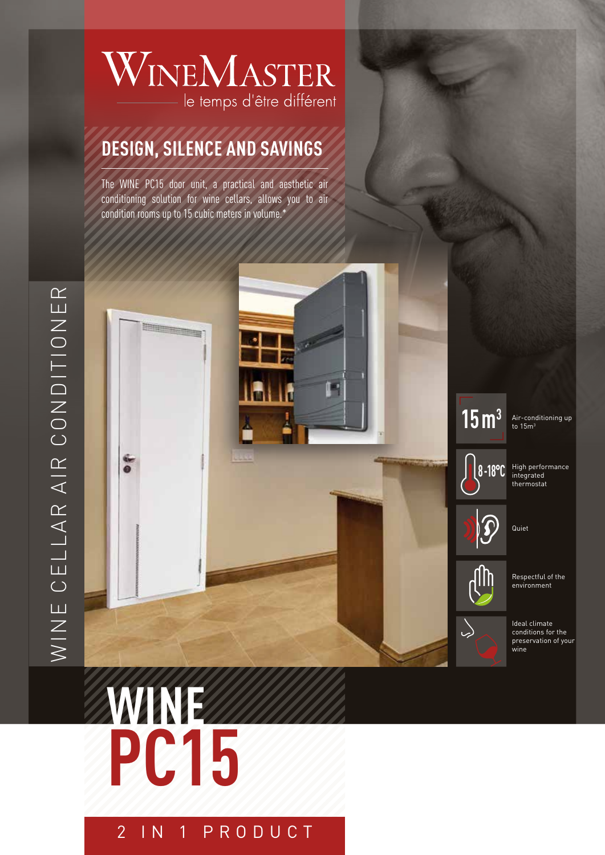## WINEMASTER le temps d'être différent

### **DESIGN, SILENCE AND SAVINGS**

The WINE PC15 door unit, a practical and aesthetic air conditioning solution for wine cellars, allows you to air condition rooms up to 15 cubic meters in volume.\*



 $15 \, \mathrm{m}^3$  Air-conditioning up

High performance integrated thermostat

Quiet

Respectful of the environment

Ideal climate conditions for the preservation of your wine

# **WINE PC15**

2 IN 1 PRODUCT